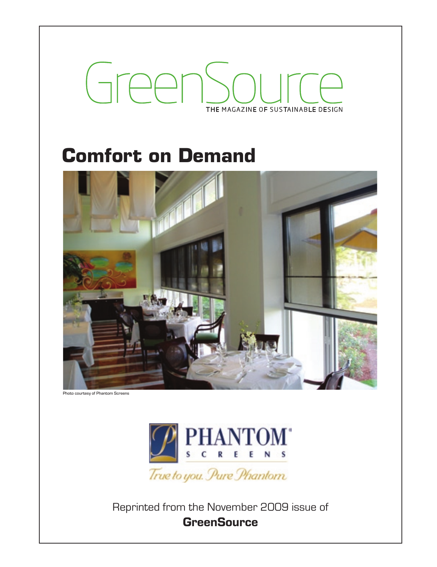# GreenS THE MAGAZINE OF SUSTAINABLE DESIGN

# **Comfort on Demand**



Photo courtesy of Phantom Screens



Reprinted from the November 2009 issue of **GreenSource**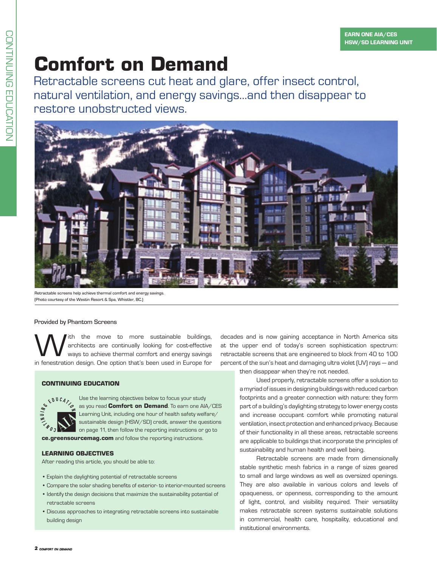Z

# **Comfort on Demand**

Retractable screens cut heat and glare, offer insect control, natural ventilation, and energy savings…and then disappear to restore unobstructed views.



Retractable screens help achieve thermal comfort and energy savings. (Photo courtesy of the Westin Resort & Spa, Whistler, BC.)

# Provided by Phantom Screens

With the move to more sustainable buildings,<br>architects are continually looking for cost-effective<br>in forectation design Ope ontion that's been used in Europe for architects are continually looking for cost-effective ways to achieve thermal comfort and energy savings in fenestration design. One option that's been used in Europe for

# **CONTINUING EDUCATION**

Use the learning objectives below to focus your study as you read **Comfort on Demand**. To earn one AIA/CES Learning Unit, including one hour of health safety welfare/ sustainable design (HSW/SD) credit, answer the questions on page 11, then follow the reporting instructions or go to

**ce.greensourcemag.com** and follow the reporting instructions.

# **Learning Objectives**

After reading this article, you should be able to:

- • Explain the daylighting potential of retractable screens
- • Compare the solar shading benefits of exterior- to interior-mounted screens
- Identify the design decisions that maximize the sustainability potential of retractable screens
- • Discuss approaches to integrating retractable screens into sustainable building design

decades and is now gaining acceptance in North America sits at the upper end of today's screen sophistication spectrum: retractable screens that are engineered to block from 40 to 100 percent of the sun's heat and damaging ultra violet (UV) rays — and then disappear when they're not needed.

> Used properly, retractable screens offer a solution to a myriad of issues in designing buildings with reduced carbon footprints and a greater connection with nature: they form part of a building's daylighting strategy to lower energy costs and increase occupant comfort while promoting natural ventilation, insect protection and enhanced privacy. Because of their functionality in all these areas, retractable screens are applicable to buildings that incorporate the principles of sustainability and human health and well being.

> Retractable screens are made from dimensionally stable synthetic mesh fabrics in a range of sizes geared to small and large windows as well as oversized openings. They are also available in various colors and levels of opaqueness, or openness, corresponding to the amount of light, control, and visibility required. Their versatility makes retractable screen systems sustainable solutions in commercial, health care, hospitality, educational and institutional environments.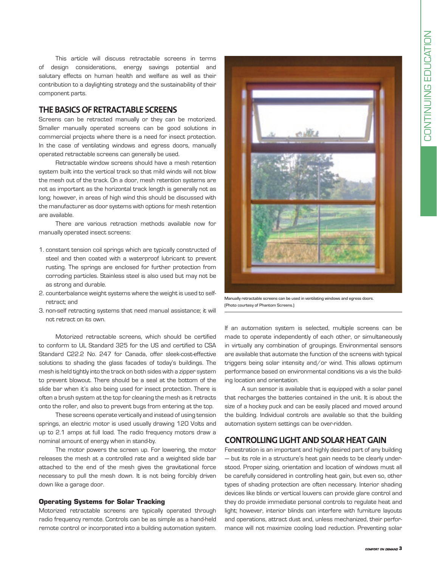This article will discuss retractable screens in terms of design considerations, energy savings potential and salutary effects on human health and welfare as well as their contribution to a daylighting strategy and the sustainability of their component parts.

# **The Basics of Retractable Screens**

Screens can be retracted manually or they can be motorized. Smaller manually operated screens can be good solutions in commercial projects where there is a need for insect protection. In the case of ventilating windows and egress doors, manually operated retractable screens can generally be used.

Retractable window screens should have a mesh retention system built into the vertical track so that mild winds will not blow the mesh out of the track. On a door, mesh retention systems are not as important as the horizontal track length is generally not as long; however, in areas of high wind this should be discussed with the manufacturer as door systems with options for mesh retention are available.

There are various retraction methods available now for manually operated insect screens:

- 1. constant tension coil springs which are typically constructed of steel and then coated with a waterproof lubricant to prevent rusting. The springs are enclosed for further protection from corroding particles. Stainless steel is also used but may not be as strong and durable.
- 2. counterbalance weight systems where the weight is used to selfretract; and
- 3. non-self retracting systems that need manual assistance; it will not retract on its own.

Motorized retractable screens, which should be certified to conform to UL Standard 325 for the US and certified to CSA Standard C22.2 No. 247 for Canada, offer sleek-cost-effective solutions to shading the glass facades of today's buildings. The mesh is held tightly into the track on both sides with a zipper system to prevent blowout. There should be a seal at the bottom of the slide bar when it's also being used for insect protection. There is often a brush system at the top for cleaning the mesh as it retracts onto the roller, and also to prevent bugs from entering at the top.

These screens operate vertically and instead of using tension springs, an electric motor is used usually drawing 120 Volts and up to 2.1 amps at full load. The radio frequency motors draw a nominal amount of energy when in stand-by.

The motor powers the screen up. For lowering, the motor releases the mesh at a controlled rate and a weighted slide bar attached to the end of the mesh gives the gravitational force necessary to pull the mesh down. It is not being forcibly driven down like a garage door.

### **Operating Systems for Solar Tracking**

Motorized retractable screens are typically operated through radio frequency remote. Controls can be as simple as a hand-held remote control or incorporated into a building automation system.



Manually retractable screens can be used in ventilating windows and egress doors. (Photo courtesy of Phantom Screens.)

If an automation system is selected, multiple screens can be made to operate independently of each other, or simultaneously in virtually any combination of groupings. Environmental sensors are available that automate the function of the screens with typical triggers being solar intensity and/or wind. This allows optimum performance based on environmental conditions vis a vis the building location and orientation.

A sun sensor is available that is equipped with a solar panel that recharges the batteries contained in the unit. It is about the size of a hockey puck and can be easily placed and moved around the building. Individual controls are available so that the building automation system settings can be over-ridden.

# **CONTROLLING LIGHT AND SOLAR HEAT GAIN**

Fenestration is an important and highly desired part of any building — but its role in a structure's heat gain needs to be clearly understood. Proper sizing, orientation and location of windows must all be carefully considered in controlling heat gain, but even so, other types of shading protection are often necessary. Interior shading devices like blinds or vertical louvers can provide glare control and they do provide immediate personal controls to regulate heat and light; however, interior blinds can interfere with furniture layouts and operations, attract dust and, unless mechanized, their performance will not maximize cooling load reduction. Preventing solar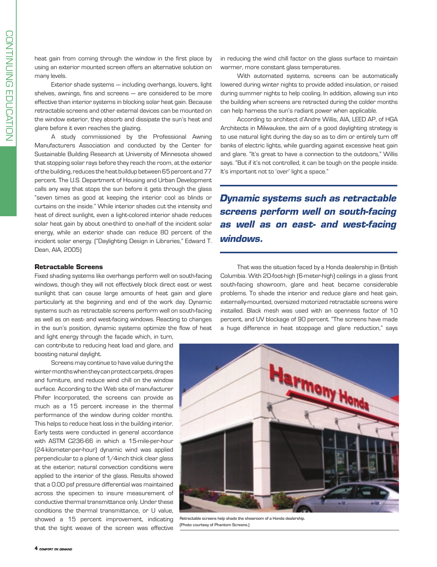heat gain from coming through the window in the first place by using an exterior mounted screen offers an alternative solution on many levels.

Exterior shade systems — including overhangs, louvers, light shelves, awnings, fins and screens — are considered to be more effective than interior systems in blocking solar heat gain. Because retractable screens and other external devices can be mounted on the window exterior, they absorb and dissipate the sun's heat and glare before it even reaches the glazing.

A study commissioned by the Professional Awning Manufacturers Association and conducted by the Center for Sustainable Building Research at University of Minnesota showed that stopping solar rays before they reach the room, at the exterior of the building, reduces the heat buildup between 65 percent and 77 percent. The U.S. Department of Housing and Urban Development calls any way that stops the sun before it gets through the glass "seven times as good at keeping the interior cool as blinds or curtains on the inside." While interior shades cut the intensity and heat of direct sunlight, even a light-colored interior shade reduces solar heat gain by about one-third to one-half of the incident solar energy, while an exterior shade can reduce 80 percent of the incident solar energy. ("Daylighting Design in Libraries," Edward T. Dean, AIA, 2005)

#### **Retractable Screens**

Fixed shading systems like overhangs perform well on south-facing windows, though they will not effectively block direct east or west sunlight that can cause large amounts of heat gain and glare particularly at the beginning and end of the work day. Dynamic systems such as retractable screens perform well on south-facing as well as on east- and west-facing windows. Reacting to changes in the sun's position, dynamic systems optimize the flow of heat

and light energy through the façade which, in turn, can contribute to reducing heat load and glare, and boosting natural daylight.

Screens may continue to have value during the winter months when they can protect carpets, drapes and furniture, and reduce wind chill on the window surface. According to the Web site of manufacturer Phifer Incorporated, the screens can provide as much as a 15 percent increase in the thermal performance of the window during colder months. This helps to reduce heat loss in the building interior. Early tests were conducted in general accordance with ASTM C236-66 in which a 15-mile-per-hour (24-kilometer-per-hour) dynamic wind was applied perpendicular to a plane of 1/4-inch thick clear glass at the exterior; natural convection conditions were applied to the interior of the glass. Results showed that a 0.00 psf pressure differential was maintained across the specimen to insure measurement of conductive thermal transmittance only. Under these conditions the thermal transmittance, or U value, showed a 15 percent improvement, indicating that the tight weave of the screen was effective

in reducing the wind chill factor on the glass surface to maintain warmer, more constant glass temperatures.

With automated systems, screens can be automatically lowered during winter nights to provide added insulation, or raised during summer nights to help cooling. In addition, allowing sun into the building when screens are retracted during the colder months can help harness the sun's radiant power when applicable.

According to architect d'Andre Willis, AIA, LEED AP, of HGA Architects in Milwaukee, the aim of a good daylighting strategy is to use natural light during the day so as to dim or entirely turn off banks of electric lights, while guarding against excessive heat gain and glare. "It's great to have a connection to the outdoors," Willis says. "But if it's not controlled, it can be tough on the people inside. It's important not to 'over' light a space."

*Dynamic systems such as retractable screens perform well on south-facing as well as on east- and west-facing windows.*

That was the situation faced by a Honda dealership in British Columbia. With 20-foot-high (6-meter-high) ceilings in a glass front south-facing showroom, glare and heat became considerable problems. To shade the interior and reduce glare and heat gain, externally-mounted, oversized motorized retractable screens were installed. Black mesh was used with an openness factor of 10 percent, and UV blockage of 90 percent. "The screens have made a huge difference in heat stoppage and glare reduction," says



Retractable screens help shade the showroom of a Honda dealership. (Photo courtesy of Phantom Screens.)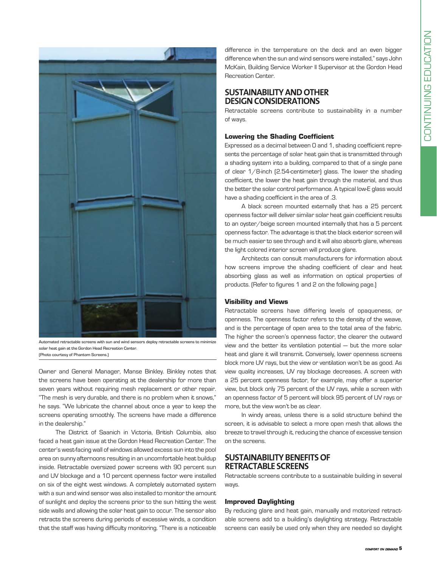

Automated retractable screens with sun and wind sensors deploy retractable screens to minimize solar heat gain at the Gordon Head Recreation Center. (Photo courtesy of Phantom Screens.)

Owner and General Manager, Manse Binkley. Binkley notes that the screens have been operating at the dealership for more than seven years without requiring mesh replacement or other repair. "The mesh is very durable, and there is no problem when it snows," he says. "We lubricate the channel about once a year to keep the screens operating smoothly. The screens have made a difference in the dealership."

The District of Saanich in Victoria, British Columbia, also faced a heat gain issue at the Gordon Head Recreation Center. The center's west-facing wall of windows allowed excess sun into the pool area on sunny afternoons resulting in an uncomfortable heat buildup inside. Retractable oversized power screens with 90 percent sun and UV blockage and a 10 percent openness factor were installed on six of the eight west windows. A completely automated system with a sun and wind sensor was also installed to monitor the amount of sunlight and deploy the screens prior to the sun hitting the west side walls and allowing the solar heat gain to occur. The sensor also retracts the screens during periods of excessive winds, a condition that the staff was having difficulty monitoring. "There is a noticeable difference in the temperature on the deck and an even bigger difference when the sun and wind sensors were installed," says John McKain, Building Service Worker ll Supervisor at the Gordon Head Recreation Center.

# **Sustainability and Other Design Considerations**

Retractable screens contribute to sustainability in a number of ways.

# **Lowering the Shading Coefficient**

Expressed as a decimal between 0 and 1, shading coefficient represents the percentage of solar heat gain that is transmitted through a shading system into a building, compared to that of a single pane of clear 1/8-inch (2.54-centimeter) glass. The lower the shading coefficient, the lower the heat gain through the material, and thus the better the solar control performance. A typical low-E glass would have a shading coefficient in the area of .3.

A black screen mounted externally that has a 25 percent openness factor will deliver similar solar heat gain coefficient results to an oyster/beige screen mounted internally that has a 5 percent openness factor. The advantage is that the black exterior screen will be much easier to see through and it will also absorb glare, whereas the light colored interior screen will produce glare.

Architects can consult manufacturers for information about how screens improve the shading coefficient of clear and heat absorbing glass as well as information on optical properties of products. (Refer to figures 1 and 2 on the following page.)

# **Visibility and Views**

Retractable screens have differing levels of opaqueness, or openness. The openness factor refers to the density of the weave, and is the percentage of open area to the total area of the fabric. The higher the screen's openness factor, the clearer the outward view and the better its ventilation potential — but the more solar heat and glare it will transmit. Conversely, lower openness screens block more UV rays, but the view or ventilation won't be as good. As view quality increases, UV ray blockage decreases. A screen with a 25 percent openness factor, for example, may offer a superior view, but block only 75 percent of the UV rays, while a screen with an openness factor of 5 percent will block 95 percent of UV rays or more, but the view won't be as clear.

In windy areas, unless there is a solid structure behind the screen, it is advisable to select a more open mesh that allows the breeze to travel through it, reducing the chance of excessive tension on the screens.

# **Sustainability Benefits of Retractable Screens**

Retractable screens contribute to a sustainable building in several ways.

# **Improved Daylighting**

By reducing glare and heat gain, manually and motorized retractable screens add to a building's daylighting strategy. Retractable screens can easily be used only when they are needed so daylight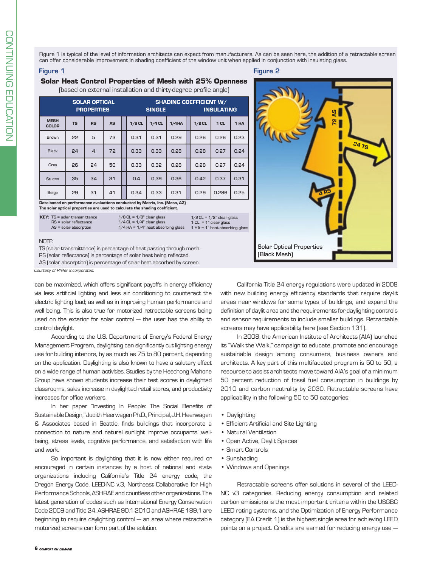Figure 1 is typical of the level of information architects can expect from manufacturers. As can be seen here, the addition of a retractable screen can offer considerable improvement in shading coefficient of the window unit when applied in conjunction with insulating glass.

#### Figure 1 Figure 2

# **Solar Heat Control Properties of Mesh with 25% Openness**

(based on external installation and thirty-degree profile angle)

| <b>SOLAR OPTICAL</b><br><b>PROPERTIES</b> |           |                |           | <b>SHADING COEFFICIENT W/</b><br><b>INSULATING</b><br><b>SINGLE</b> |          |       |  |          |                 |      |
|-------------------------------------------|-----------|----------------|-----------|---------------------------------------------------------------------|----------|-------|--|----------|-----------------|------|
| <b>MESH</b><br><b>COLOR</b>               | <b>TS</b> | <b>RS</b>      | <b>AS</b> | $1/8$ CL                                                            | $1/4$ CL | 1/4HA |  | $1/2$ CL | 1 <sub>CL</sub> | 1 HA |
| Brown                                     | 22        | 5              | 73        | 0.31                                                                | 0.31     | 0.29  |  | 0.26     | 0.26            | 0.23 |
| Black                                     | 24        | $\overline{4}$ | 72        | 0.33                                                                | 0.33     | 0.28  |  | 0.28     | 0.27            | 0.24 |
| Grey                                      | 26        | 24             | 50        | 0.33                                                                | 0.32     | 0.28  |  | 0.28     | 0.27            | 0.24 |
| <b>Stucco</b>                             | 35        | 34             | 31        | 0.4                                                                 | 0.39     | 0.36  |  | 0.42     | 0.37            | 0.31 |
| Beige                                     | 29        | 31             | 41        | 0.34                                                                | 0.33     | 0.31  |  | 0.29     | 0.286           | 0.25 |

Data based on performance evaluations conducted by Matrix, Inc. (Mesa, AZ) The solar optical properties are used to calculate the shading coefficient.

 $1/2$  CL =  $1/2$ " clear glass 1 CL = 1" clear glass 1 HA = 1" heat absorbing glass

#### NOTE:

TS (solar transmittance) is percentage of heat passing through mesh. RS (solar reflectance) is percentage of solar heat being reflected.

AS (solar absorption) is percentage of solar heat absorbed by screen.

*Courtesy of Phifer Incorporated.*

can be maximized, which offers significant payoffs in energy efficiency via less artificial lighting and less air conditioning to counteract the electric lighting load; as well as in improving human performance and well being. This is also true for motorized retractable screens being used on the exterior for solar control — the user has the ability to control daylight.

According to the U.S. Department of Energy's Federal Energy Management Program, daylighting can significantly cut lighting energy use for building interiors, by as much as 75 to 80 percent, depending on the application. Daylighting is also known to have a salutary effect on a wide range of human activities. Studies by the Heschong Mahone Group have shown students increase their test scores in daylighted classrooms, sales increase in daylighted retail stores, and productivity increases for office workers.

In her paper "Investing In People: The Social Benefits of Sustainable Design," Judith Heerwagen Ph.D., Principal, J.H. Heerwagen & Associates based in Seattle, finds buildings that incorporate a connection to nature and natural sunlight improve occupants' wellbeing, stress levels, cognitive performance, and satisfaction with life and work.

So important is daylighting that it is now either required or encouraged in certain instances by a host of national and state organizations including California's Title 24 energy code, the Oregon Energy Code, LEED-NC v.3, Northeast Collaborative for High Performance Schools, ASHRAE and countless other organizations. The latest generation of codes such as International Energy Conservation Code 2009 and Title 24, ASHRAE 90.1-2010 and ASHRAE 189.1 are beginning to require daylighting control — an area where retractable motorized screens can form part of the solution.



California Title 24 energy regulations were updated in 2008 with new building energy efficiency standards that require day-lit areas near windows for some types of buildings, and expand the definition of daylit area and the requirements for daylighting controls and sensor requirements to include smaller buildings. Retractable screens may have applicability here (see Section 131).

In 2008, the American Institute of Architects (AIA) launched its "Walk the Walk," campaign to educate, promote and encourage sustainable design among consumers, business owners and architects. A key part of this multifaceted program is 50 to 50, a resource to assist architects move toward AIA's goal of a minimum 50 percent reduction of fossil fuel consumption in buildings by 2010 and carbon neutrality by 2030. Retractable screens have applicability in the following 50 to 50 categories:

- Daylighting
- Efficient Artificial and Site Lighting
- Natural Ventilation
- Open Active, Daylit Spaces
- Smart Controls
- Sunshading
- Windows and Openings

Retractable screens offer solutions in several of the LEED-NC v3 categories. Reducing energy consumption and related carbon emissions is the most important criteria within the USGBC LEED rating systems, and the Optimization of Energy Performance category (EA Credit 1) is the highest single area for achieving LEED points on a project. Credits are earned for reducing energy use —

KEY: TS = solar transmittance RS = solar reflectance AS = solar absorption

 $1/8$  CL =  $1/8$ " clear glass  $1/4$  CL =  $1/4$ " clear glass  $1/4$  HA =  $1/4$ " heat absorbing glass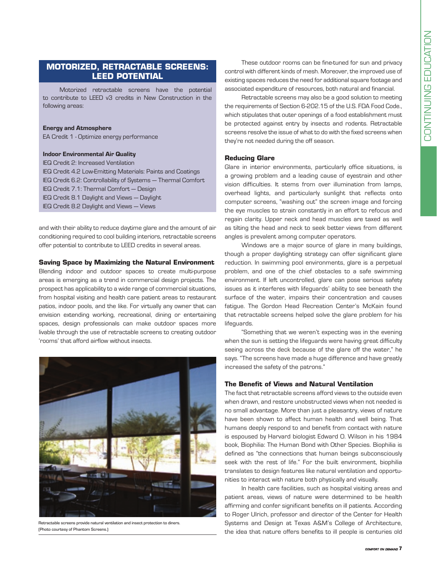# **Motorized, Retractable Screens: LEED Potential**

Motorized retractable screens have the potential to contribute to LEED v3 credits in New Construction in the following areas:

#### Energy and Atmosphere

EA Credit 1 - Optimize energy performance

# Indoor Environmental Air Quality

IEQ Credit 2: Increased Ventilation IEQ Credit 4.2 Low-Emitting Materials: Paints and Coatings IEQ Credit 6.2: Controllability of Systems — Thermal Comfort IEQ Credit 7.1: Thermal Comfort — Design IEQ Credit 8.1 Daylight and Views — Daylight IEQ Credit 8.2 Daylight and Views — Views

and with their ability to reduce daytime glare and the amount of air conditioning required to cool building interiors, retractable screens offer potential to contribute to LEED credits in several areas.

### **Saving Space by Maximizing the Natural Environment**

Blending indoor and outdoor spaces to create multi-purpose areas is emerging as a trend in commercial design projects. The prospect has applicability to a wide range of commercial situations, from hospital visiting and health care patient areas to restaurant patios, indoor pools, and the like. For virtually any owner that can envision extending working, recreational, dining or entertaining spaces, design professionals can make outdoor spaces more livable through the use of retractable screens to creating outdoor 'rooms' that afford airflow without insects.



Retractable screens provide natural ventilation and insect protection to diners. (Photo courtesy of Phantom Screens.)

These outdoor rooms can be fine-tuned for sun and privacy control with different kinds of mesh. Moreover, the improved use of existing spaces reduces the need for additional square footage and associated expenditure of resources, both natural and financial.

Retractable screens may also be a good solution to meeting the requirements of Section 6-202.15 of the U.S. FDA Food Code., which stipulates that outer openings of a food establishment must be protected against entry by insects and rodents. Retractable screens resolve the issue of what to do with the fixed screens when they're not needed during the off season.

#### **Reducing Glare**

Glare in interior environments, particularly office situations, is a growing problem and a leading cause of eyestrain and other vision difficulties. It stems from over illumination from lamps, overhead lights, and particularly sunlight that reflects onto computer screens, "washing out" the screen image and forcing the eye muscles to strain constantly in an effort to refocus and regain clarity. Upper neck and head muscles are taxed as well as tilting the head and neck to seek better views from different angles is prevalent among computer operators.

Windows are a major source of glare in many buildings, though a proper daylighting strategy can offer significant glare reduction. In swimming pool environments, glare is a perpetual problem, and one of the chief obstacles to a safe swimming environment. If left uncontrolled, glare can pose serious safety issues as it interferes with lifeguards' ability to see beneath the surface of the water, impairs their concentration and causes fatigue. The Gordon Head Recreation Center's McKain found that retractable screens helped solve the glare problem for his lifeguards.

"Something that we weren't expecting was in the evening when the sun is setting the lifeguards were having great difficulty seeing across the deck because of the glare off the water," he says. "The screens have made a huge difference and have greatly increased the safety of the patrons."

#### **The Benefit of Views and Natural Ventilation**

The fact that retractable screens afford views to the outside even when drawn, and restore unobstructed views when not needed is no small advantage. More than just a pleasantry, views of nature have been shown to affect human health and well being. That humans deeply respond to and benefit from contact with nature is espoused by Harvard biologist Edward O. Wilson in his 1984 book, Biophilia: The Human Bond with Other Species. Biophilia is defined as "the connections that human beings subconsciously seek with the rest of life." For the built environment, biophilia translates to design features like natural ventilation and opportunities to interact with nature both physically and visually.

In health care facilities, such as hospital visiting areas and patient areas, views of nature were determined to be health affirming and confer significant benefits on ill patients. According to Roger Ulrich, professor and director of the Center for Health Systems and Design at Texas A&M's College of Architecture, the idea that nature offers benefits to ill people is centuries old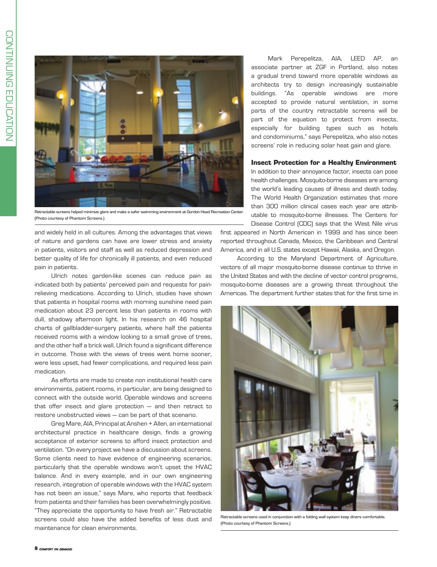

Retractable screens helped minimize glare and make a safer swimming environment at Gordon Head Recreation Center. (Photo courtesy of Phantom Screens.)

and widely held in all cultures. Among the advantages that views of nature and gardens can have are lower stress and anxiety in patients, visitors and staff as well as reduced depression and better quality of life for chronically ill patients, and even reduced pain in patients.

Ulrich notes garden-like scenes can reduce pain as indicated both by patients' perceived pain and requests for painrelieving medications. According to Ulrich, studies have shown that patients in hospital rooms with morning sunshine need pain medication about 23 percent less than patients in rooms with dull, shadowy afternoon light. In his research on 46 hospital charts of gallbladder-surgery patients, where half the patients received rooms with a window looking to a small grove of trees, and the other half a brick wall, Ulrich found a significant difference in outcome. Those with the views of trees went home sooner, were less upset, had fewer complications, and required less pain medication.

As efforts are made to create non institutional health care environments, patient rooms, in particular, are being designed to connect with the outside world. Operable windows and screens that offer insect and glare protection — and then retract to restore unobstructed views — can be part of that scenario.

Greg Mare, AIA, Principal at Anshen + Allen, an international architectural practice in healthcare design, finds a growing acceptance of exterior screens to afford insect protection and ventilation. "On every project we have a discussion about screens. Some clients need to have evidence of engineering scenarios, particularly that the operable windows won't upset the HVAC balance. And in every example, and in our own engineering research, integration of operable windows with the HVAC system has not been an issue," says Mare, who reports that feedback from patients and their families has been overwhelmingly positive. "They appreciate the opportunity to have fresh air." Retractable screens could also have the added benefits of less dust and maintenance for clean environments.

Mark Perepelitza, AIA, LEED AP, an associate partner at ZGF in Portland, also notes a gradual trend toward more operable windows as architects try to design increasingly sustainable buildings. "As operable windows are more accepted to provide natural ventilation, in some parts of the country retractable screens will be part of the equation to protect from insects, especially for building types such as hotels and condominiums," says Perepelitza, who also notes screens' role in reducing solar heat gain and glare.

#### **Insect Protection for a Healthy Environment**

In addition to their annoyance factor, insects can pose health challenges. Mosquito-borne diseases are among the world's leading causes of illness and death today. The World Health Organization estimates that more than 300 million clinical cases each year are attributable to mosquito-borne illnesses. The Centers for Disease Control (CDC) says that the West Nile virus

first appeared in North American in 1999 and has since been reported throughout Canada, Mexico, the Caribbean and Central America, and in all U.S. states except Hawaii, Alaska, and Oregon.

According to the Maryland Department of Agriculture, vectors of all major mosquito-borne disease continue to thrive in the United States and with the decline of vector control programs, mosquito-borne diseases are a growing threat throughout the Americas. The department further states that for the first time in



Retractable screens used in conjunction with a folding wall system keep diners comfortable. (Photo courtesy of Phantom Screens.)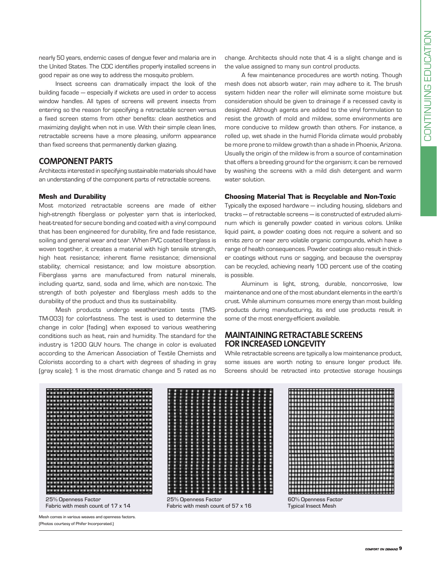nearly 50 years, endemic cases of dengue fever and malaria are in the United States. The CDC identifies properly installed screens in good repair as one way to address the mosquito problem.

Insect screens can dramatically impact the look of the building facade — especially if wickets are used in order to access window handles. All types of screens will prevent insects from entering so the reason for specifying a retractable screen versus a fixed screen stems from other benefits: clean aesthetics and maximizing daylight when not in use. With their simple clean lines, retractable screens have a more pleasing, uniform appearance than fixed screens that permanently darken glazing.

# **Component Parts**

Architects interested in specifying sustainable materials should have an understanding of the component parts of retractable screens.

## **Mesh and Durability**

Most motorized retractable screens are made of either high-strength fiberglass or polyester yarn that is interlocked, heat-treated for secure bonding and coated with a vinyl compound that has been engineered for durability, fire and fade resistance, soiling and general wear and tear. When PVC coated fiberglass is woven together, it creates a material with high tensile strength, high heat resistance; inherent flame resistance; dimensional stability; chemical resistance; and low moisture absorption. Fiberglass yarns are manufactured from natural minerals, including quartz, sand, soda and lime, which are non-toxic. The strength of both polyester and fiberglass mesh adds to the durability of the product and thus its sustainability.

Mesh products undergo weatherization tests (TMS-TM-003) for colorfastness. The test is used to determine the change in color (fading) when exposed to various weathering conditions such as heat, rain and humidity. The standard for the industry is 1200 QUV hours. The change in color is evaluated according to the American Association of Textile Chemists and Colorists according to a chart with degrees of shading in gray (gray scale); 1 is the most dramatic change and 5 rated as no

change. Architects should note that 4 is a slight change and is the value assigned to many sun control products.

A few maintenance procedures are worth noting. Though mesh does not absorb water, rain may adhere to it. The brush system hidden near the roller will eliminate some moisture but consideration should be given to drainage if a recessed cavity is designed. Although agents are added to the vinyl formulation to resist the growth of mold and mildew, some environments are more conducive to mildew growth than others. For instance, a rolled up, wet shade in the humid Florida climate would probably be more prone to mildew growth than a shade in Phoenix, Arizona. Usually the origin of the mildew is from a source of contamination that offers a breeding ground for the organism; it can be removed by washing the screens with a mild dish detergent and warm water solution.

## **Choosing Material That is Recyclable and Non-Toxic**

Typically the exposed hardware — including housing, slidebars and tracks — of retractable screens — is constructed of extruded aluminum which is generally powder coated in various colors. Unlike liquid paint, a powder coating does not require a solvent and so emits zero or near zero volatile organic compounds, which have a range of health consequences. Powder coatings also result in thicker coatings without runs or sagging, and because the overspray can be recycled, achieving nearly 100 percent use of the coating is possible.

Aluminum is light, strong, durable, noncorrosive, low maintenance and one of the most abundant elements in the earth's crust. While aluminum consumes more energy than most building products during manufacturing, its end use products result in some of the most energy-efficient available.

# **Maintaining Retractable Screens FOR INCREASED LONGEVITY**

While retractable screens are typically a low maintenance product, some issues are worth noting to ensure longer product life. Screens should be retracted into protective storage housings



25% Openness Factor Fabric with mesh count of 17 x 14

Mesh comes in various weaves and openness factors. (Photos courtesy of Phifer Incorporated.)



Fabric with mesh count of 57 x 16



Typical Insect Mesh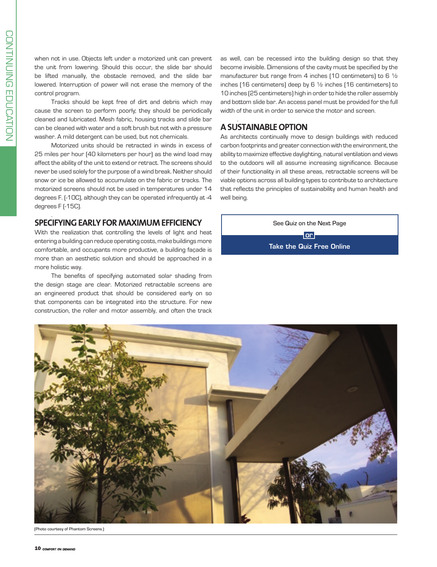Z

.

when not in use. Objects left under a motorized unit can prevent the unit from lowering. Should this occur, the slide bar should be lifted manually, the obstacle removed, and the slide bar lowered. Interruption of power will not erase the memory of the control program.

Tracks should be kept free of dirt and debris which may cause the screen to perform poorly; they should be periodically cleaned and lubricated. Mesh fabric, housing tracks and slide bar can be cleaned with water and a soft brush but not with a pressure washer. A mild detergent can be used, but not chemicals.

Motorized units should be retracted in winds in excess of 25 miles per hour (40 kilometers per hour) as the wind load may affect the ability of the unit to extend or retract. The screens should never be used solely for the purpose of a wind break. Neither should snow or ice be allowed to accumulate on the fabric or tracks. The motorized screens should not be used in temperatures under 14 degrees F. (-10C), although they can be operated infrequently at -4 degrees F (-15C).

# **SPECIFYING EARLY FOR MAXIMUM EFFICIENCY**

With the realization that controlling the levels of light and heat entering a building can reduce operating costs, make buildings more comfortable, and occupants more productive, a building façade is more than an aesthetic solution and should be approached in a more holistic way.

The benefits of specifying automated solar shading from the design stage are clear. Motorized retractable screens are an engineered product that should be considered early on so that components can be integrated into the structure. For new construction, the roller and motor assembly, and often the track

as well, can be recessed into the building design so that they become invisible. Dimensions of the cavity must be specified by the manufacturer but range from 4 inches (10 centimeters) to 6 ½ inches (16 centimeters) deep by 6 ½ inches (16 centimeters) to 10 inches (25 centimeters) high in order to hide the roller assembly and bottom slide bar. An access panel must be provided for the full width of the unit in order to service the motor and screen.

# **ASustainable Option**

.

As architects continually move to design buildings with reduced carbon footprints and greater connection with the environment, the ability to maximize effective daylighting, natural ventilation and views to the outdoors will all assume increasing significance. Because of their functionality in all these areas, retractable screens will be viable options across all building types to contribute to architecture that reflects the principles of sustainability and human health and well being.

See Quiz on the Next Page  $\overline{\phantom{a}}$  or  $\overline{\phantom{a}}$ Take the Quiz Free Online



(Photo courtesy of Phantom Screens.)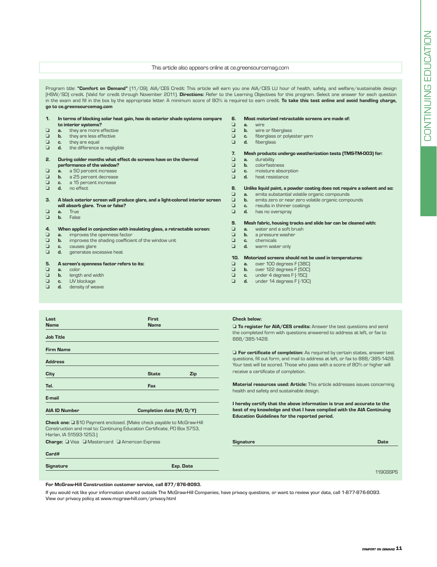#### This article also appears online at ce.greensourcemag.com

| Program title: "Comfort on Demand" [11/09]. AIA/CES Credit: This article will earn you one AIA/CES LU hour of health, safety, and welfare/sustainable design<br>(HSW/SD) credit. [Valid for credit through November 2011]. Directions: Refer to the Learning Objectives for this program. Select one answer for each question<br>in the exam and fill in the box by the appropriate letter. A minimum score of 80% is required to earn credit. To take this test online and avoid handling charge,<br>go to ce.greensourcemag.com |                |                                                                                 |                 |                |                                                                          |  |
|-----------------------------------------------------------------------------------------------------------------------------------------------------------------------------------------------------------------------------------------------------------------------------------------------------------------------------------------------------------------------------------------------------------------------------------------------------------------------------------------------------------------------------------|----------------|---------------------------------------------------------------------------------|-----------------|----------------|--------------------------------------------------------------------------|--|
| $\mathbf{1}$ .                                                                                                                                                                                                                                                                                                                                                                                                                                                                                                                    |                | In terms of blocking solar heat gain, how do exterior shade systems compare     | 6.              |                | Most motorized retractable screens are made of:                          |  |
|                                                                                                                                                                                                                                                                                                                                                                                                                                                                                                                                   |                | to interior systems?                                                            | ❏               | a.             | wire                                                                     |  |
| ⊔                                                                                                                                                                                                                                                                                                                                                                                                                                                                                                                                 | a.             | they are more effective                                                         | ❏               | b.             | wire or fiberglass                                                       |  |
| ❏                                                                                                                                                                                                                                                                                                                                                                                                                                                                                                                                 | b.             | they are less effective                                                         | ❏               | c.             | fiberglass or polyester yarn                                             |  |
| ❏                                                                                                                                                                                                                                                                                                                                                                                                                                                                                                                                 | c.             | they are equal                                                                  | ❏               | d.             | fiberglass                                                               |  |
| ❏                                                                                                                                                                                                                                                                                                                                                                                                                                                                                                                                 | d.             | the difference is negligible                                                    |                 |                |                                                                          |  |
|                                                                                                                                                                                                                                                                                                                                                                                                                                                                                                                                   |                |                                                                                 | 7.              |                | Mesh products undergo weatherization tests (TMS-TM-003) for:             |  |
| 2.                                                                                                                                                                                                                                                                                                                                                                                                                                                                                                                                |                | During colder months what effect do screens have on the thermal                 | ❏               | a.             | durability                                                               |  |
|                                                                                                                                                                                                                                                                                                                                                                                                                                                                                                                                   |                | performance of the window?                                                      | ❏               | $b$ .          | colorfastness                                                            |  |
| ❏                                                                                                                                                                                                                                                                                                                                                                                                                                                                                                                                 | a.             | a 50 percent increase                                                           | ❏               | c.             | moisture absorption                                                      |  |
| ❏                                                                                                                                                                                                                                                                                                                                                                                                                                                                                                                                 | b.             | a 25 percent decrease                                                           | □               | d.             | heat resistance                                                          |  |
| ❏                                                                                                                                                                                                                                                                                                                                                                                                                                                                                                                                 | c.             | a 15 percent increase                                                           |                 |                |                                                                          |  |
| ❏                                                                                                                                                                                                                                                                                                                                                                                                                                                                                                                                 | d.             | no effect.                                                                      | 8.              |                | Unlike liquid paint, a powder coating does not require a solvent and so: |  |
|                                                                                                                                                                                                                                                                                                                                                                                                                                                                                                                                   |                |                                                                                 | ❏               | a.             | emits substantial volatile organic compounds                             |  |
| З.                                                                                                                                                                                                                                                                                                                                                                                                                                                                                                                                |                | A black exterior screen will produce glare, and a light-colored interior screen | ❏               | $b$ .          | emits zero or near zero volatile organic compounds                       |  |
|                                                                                                                                                                                                                                                                                                                                                                                                                                                                                                                                   |                | will absorb glare. True or false?                                               | □               | C.             | results in thinner coatings                                              |  |
| ⊔                                                                                                                                                                                                                                                                                                                                                                                                                                                                                                                                 | a.             | True                                                                            | ❏               | d.             | has no overspray                                                         |  |
| ❏                                                                                                                                                                                                                                                                                                                                                                                                                                                                                                                                 | b.             | False                                                                           |                 |                |                                                                          |  |
|                                                                                                                                                                                                                                                                                                                                                                                                                                                                                                                                   |                |                                                                                 | 9.              |                | Mesh fabric, housing tracks and slide bar can be cleaned with:           |  |
| 4.                                                                                                                                                                                                                                                                                                                                                                                                                                                                                                                                |                | When applied in conjunction with insulating glass, a retractable screen:        | ❏               | a.             | water and a soft brush                                                   |  |
| ❏                                                                                                                                                                                                                                                                                                                                                                                                                                                                                                                                 | a.             | improves the openness factor                                                    | ❏               | b.             | a pressure washer                                                        |  |
| ❏                                                                                                                                                                                                                                                                                                                                                                                                                                                                                                                                 | $\mathbf{b}$ . | improves the shading coefficient of the window unit                             | ❏               | C.             | chemicals                                                                |  |
| ❏                                                                                                                                                                                                                                                                                                                                                                                                                                                                                                                                 | C.             | causes glare                                                                    | ❏               | d.             | warm water only                                                          |  |
| ❏                                                                                                                                                                                                                                                                                                                                                                                                                                                                                                                                 | d.             | generates excessive heat                                                        |                 |                |                                                                          |  |
|                                                                                                                                                                                                                                                                                                                                                                                                                                                                                                                                   |                |                                                                                 | 10 <sub>1</sub> |                | Motorized screens should not be used in temperatures:                    |  |
| 5.                                                                                                                                                                                                                                                                                                                                                                                                                                                                                                                                |                | A screen's openness factor refers to its:                                       | ❏               | a <sub>r</sub> | over 100 degrees F (38C)                                                 |  |
| ❏                                                                                                                                                                                                                                                                                                                                                                                                                                                                                                                                 | a.             | color                                                                           | ❏               | $b$ .          | over 122 degrees F (50C)                                                 |  |
| ❏                                                                                                                                                                                                                                                                                                                                                                                                                                                                                                                                 | b.             | length and width                                                                | ❏               | c.             | under 4 degrees F [-15C]                                                 |  |
| ❏                                                                                                                                                                                                                                                                                                                                                                                                                                                                                                                                 | c.             | UV blockage                                                                     | ❏               | d.             | under 14 degrees F [-10C]                                                |  |
| ❏                                                                                                                                                                                                                                                                                                                                                                                                                                                                                                                                 | d.             | density of weave                                                                |                 |                |                                                                          |  |

| Last                    | <b>First</b>                                                             |     |
|-------------------------|--------------------------------------------------------------------------|-----|
| <b>Name</b>             | <b>Name</b>                                                              |     |
|                         |                                                                          |     |
| <b>Job Title</b>        |                                                                          |     |
|                         |                                                                          |     |
| <b>Firm Name</b>        |                                                                          |     |
|                         |                                                                          |     |
| <b>Address</b>          |                                                                          |     |
|                         |                                                                          |     |
| City                    | <b>State</b>                                                             | Zip |
|                         |                                                                          |     |
| Tel.                    | Fax                                                                      |     |
|                         |                                                                          |     |
| E-mail                  |                                                                          |     |
|                         |                                                                          |     |
| <b>AIA ID Number</b>    | Completion date (M/D/Y)                                                  |     |
|                         |                                                                          |     |
|                         | Check one: Q \$10 Payment enclosed. [Make check payable to McGraw-Hill   |     |
|                         | Construction and mail to: Continuing Education Certificate, PO Box 5753, |     |
| Harlan, IA 51593-1253.) |                                                                          |     |

Charge: U Visa U Mastercard U American Expres

| Card# |
|-------|

# Signature

#### Check below:

 $\square$  To register for AIA/CES credits: Answer the test questions and send the completed form with questions answered to address at left, or fax to 888/385-1428.

 $\Box$  For certificate of completion: As required by certain states, answer test questions, fill out form, and mail to address at left, or fax to 888/385-1428. Your test will be scored. Those who pass with a score of 80% or higher will receive a certificate of completion.

Material resources used: Article: This article addresses issues concerning health and safety and sustainable design.

I hereby certify that the above information is true and accurate to the best of my knowledge and that I have complied with the AIA Continuing Education Guidelines for the reported period.

| iS        | <b>Signature</b> | <b>Date</b> |
|-----------|------------------|-------------|
|           |                  |             |
| Exp. Date |                  |             |
|           |                  | 119GSSPS    |

### For McGraw-Hill Construction customer service, call 877/876-8093.

If you would not like your information shared outside The McGraw-Hill Companies, have privacy questions, or want to review your data, call 1-877-876-8093. View our privacy policy at www.mcgraw-hill.com/privacy.html